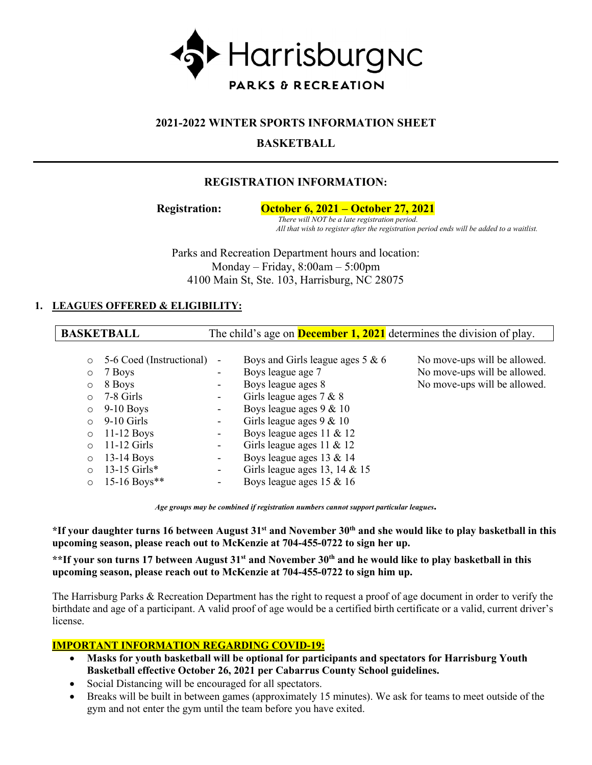

### **2021-2022 WINTER SPORTS INFORMATION SHEET**

**BASKETBALL**

# **REGISTRATION INFORMATION:**

**Registration: October 6, 2021 – October 27, 2021**

*There will NOT be a late registration period*.  *All that wish to register after the registration period ends will be added to a waitlist.*

Parks and Recreation Department hours and location: Monday – Friday, 8:00am – 5:00pm 4100 Main St, Ste. 103, Harrisburg, NC 28075

### **1. LEAGUES OFFERED & ELIGIBILITY:**

| <b>BASKETBALL</b> |                          |                              | The child's age on <b>December 1, 2021</b> determines the division of play. |                              |  |  |
|-------------------|--------------------------|------------------------------|-----------------------------------------------------------------------------|------------------------------|--|--|
|                   |                          |                              |                                                                             |                              |  |  |
| $\circ$           | 5-6 Coed (Instructional) | $\qquad \qquad \blacksquare$ | Boys and Girls league ages $5 & 6$                                          | No move-ups will be allowed. |  |  |
| $\circ$           | 7 Boys                   |                              | Boys league age 7                                                           | No move-ups will be allowed. |  |  |
| $\circ$           | 8 Boys                   |                              | Boys league ages 8                                                          | No move-ups will be allowed. |  |  |
| $\circ$           | 7-8 Girls                |                              | Girls league ages $7 & 8$                                                   |                              |  |  |
| $\circ$           | $9-10$ Boys              |                              | Boys league ages $9 & 10$                                                   |                              |  |  |
| $\circ$           | $9-10$ Girls             |                              | Girls league ages $9 & 10$                                                  |                              |  |  |
| $\circ$           | $11-12$ Boys             |                              | Boys league ages 11 & 12                                                    |                              |  |  |
| $\circ$           | $11-12$ Girls            |                              | Girls league ages $11 \& 12$                                                |                              |  |  |
| $\circ$           | $13-14$ Boys             |                              | Boys league ages 13 & 14                                                    |                              |  |  |
| $\Omega$          | 13-15 Girls*             |                              | Girls league ages 13, 14 & 15                                               |                              |  |  |
| $\circ$           | 15-16 Boys**             |                              | Boys league ages 15 & 16                                                    |                              |  |  |

*Age groups may be combined if registration numbers cannot support particular leagues***.**

**\*If your daughter turns 16 between August 31st and November 30th and she would like to play basketball in this upcoming season, please reach out to McKenzie at 704-455-0722 to sign her up.**

**\*\*If your son turns 17 between August 31st and November 30th and he would like to play basketball in this upcoming season, please reach out to McKenzie at 704-455-0722 to sign him up.** 

The Harrisburg Parks & Recreation Department has the right to request a proof of age document in order to verify the birthdate and age of a participant. A valid proof of age would be a certified birth certificate or a valid, current driver's license.

### **IMPORTANT INFORMATION REGARDING COVID-19:**

- **Masks for youth basketball will be optional for participants and spectators for Harrisburg Youth Basketball effective October 26, 2021 per Cabarrus County School guidelines.**
- Social Distancing will be encouraged for all spectators.
- Breaks will be built in between games (approximately 15 minutes). We ask for teams to meet outside of the gym and not enter the gym until the team before you have exited.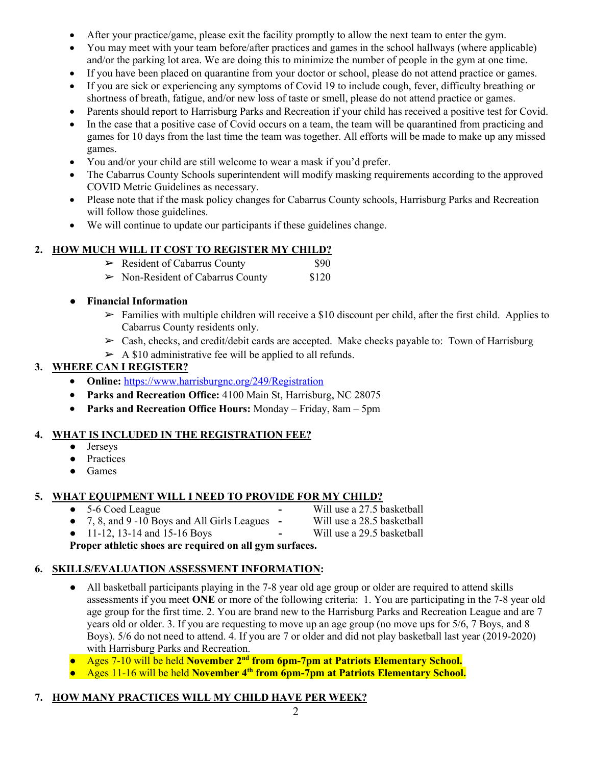- After your practice/game, please exit the facility promptly to allow the next team to enter the gym.
- You may meet with your team before/after practices and games in the school hallways (where applicable) and/or the parking lot area. We are doing this to minimize the number of people in the gym at one time.
- If you have been placed on quarantine from your doctor or school, please do not attend practice or games.
- If you are sick or experiencing any symptoms of Covid 19 to include cough, fever, difficulty breathing or shortness of breath, fatigue, and/or new loss of taste or smell, please do not attend practice or games.
- Parents should report to Harrisburg Parks and Recreation if your child has received a positive test for Covid.
- In the case that a positive case of Covid occurs on a team, the team will be quarantined from practicing and games for 10 days from the last time the team was together. All efforts will be made to make up any missed games.
- You and/or your child are still welcome to wear a mask if you'd prefer.
- The Cabarrus County Schools superintendent will modify masking requirements according to the approved COVID Metric Guidelines as necessary.
- Please note that if the mask policy changes for Cabarrus County schools, Harrisburg Parks and Recreation will follow those guidelines.
- We will continue to update our participants if these guidelines change.

# **2. HOW MUCH WILL IT COST TO REGISTER MY CHILD?**

|  | $\triangleright$ Resident of Cabarrus County | \$90 |
|--|----------------------------------------------|------|
|--|----------------------------------------------|------|

 $\triangleright$  Non-Resident of Cabarrus County \$120

- **Financial Information**
	- $\triangleright$  Families with multiple children will receive a \$10 discount per child, after the first child. Applies to Cabarrus County residents only.
	- $\triangleright$  Cash, checks, and credit/debit cards are accepted. Make checks payable to: Town of Harrisburg
	- $\triangleright$  A \$10 administrative fee will be applied to all refunds.

# **3. WHERE CAN I REGISTER?**

- **Online:** <https://www.harrisburgnc.org/249/Registration>
- **Parks and Recreation Office:** 4100 Main St, Harrisburg, NC 28075
- **Parks and Recreation Office Hours:** Monday Friday, 8am 5pm

# **4. WHAT IS INCLUDED IN THE REGISTRATION FEE?**

- Jerseys
- Practices
- Games

# **5. WHAT EQUIPMENT WILL I NEED TO PROVIDE FOR MY CHILD?**

- 5-6 Coed League **-** Will use a 27.5 basketball
- 7, 8, and 9 -10 Boys and All Girls Leagues **-** Will use a 28.5 basketball ● 11-12, 13-14 and 15-16 Boys **-** Will use a 29.5 basketball

**Proper athletic shoes are required on all gym surfaces.**

# **6. SKILLS/EVALUATION ASSESSMENT INFORMATION:**

• All basketball participants playing in the 7-8 year old age group or older are required to attend skills assessments if you meet **ONE** or more of the following criteria: 1. You are participating in the 7-8 year old age group for the first time. 2. You are brand new to the Harrisburg Parks and Recreation League and are 7 years old or older. 3. If you are requesting to move up an age group (no move ups for 5/6, 7 Boys, and 8 Boys). 5/6 do not need to attend. 4. If you are 7 or older and did not play basketball last year (2019-2020) with Harrisburg Parks and Recreation.

● Ages 7-10 will be held **November 2nd from 6pm-7pm at Patriots Elementary School.**

● Ages 11-16 will be held **November 4th from 6pm-7pm at Patriots Elementary School.** 

# **7. HOW MANY PRACTICES WILL MY CHILD HAVE PER WEEK?**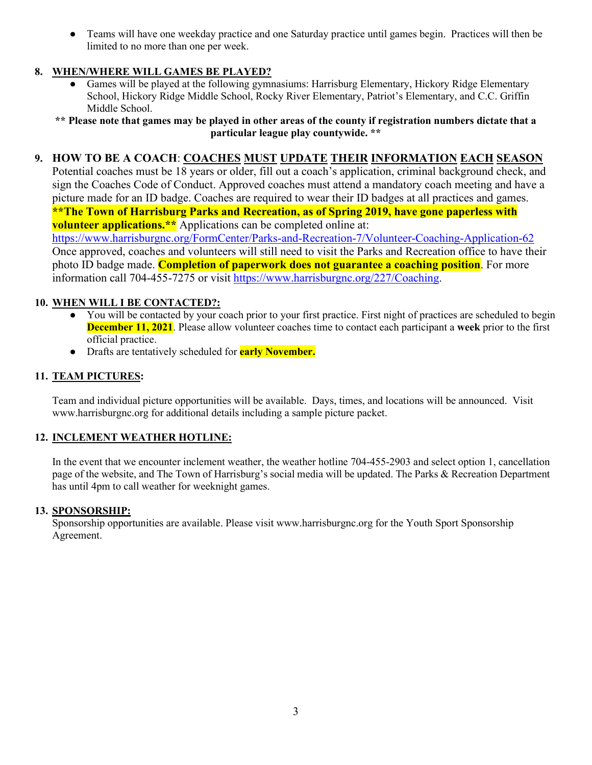● Teams will have one weekday practice and one Saturday practice until games begin. Practices will then be limited to no more than one per week.

## **8. WHEN/WHERE WILL GAMES BE PLAYED?**

- Games will be played at the following gymnasiums: Harrisburg Elementary, Hickory Ridge Elementary School, Hickory Ridge Middle School, Rocky River Elementary, Patriot's Elementary, and C.C. Griffin Middle School.
- **\*\* Please note that games may be played in other areas of the county if registration numbers dictate that a particular league play countywide. \*\***

### **9. HOW TO BE A COACH**: **COACHES MUST UPDATE THEIR INFORMATION EACH SEASON**

Potential coaches must be 18 years or older, fill out a coach's application, criminal background check, and sign the Coaches Code of Conduct. Approved coaches must attend a mandatory coach meeting and have a picture made for an ID badge. Coaches are required to wear their ID badges at all practices and games. **\*\*The Town of Harrisburg Parks and Recreation, as of Spring 2019, have gone paperless with volunteer applications.\*\*** Applications can be completed online at: <https://www.harrisburgnc.org/FormCenter/Parks-and-Recreation-7/Volunteer-Coaching-Application-62>

Once approved, coaches and volunteers will still need to visit the Parks and Recreation office to have their photo ID badge made. **Completion of paperwork does not guarantee a coaching position**. For more information call 704-455-7275 or visit [https://www.harrisburgnc.org/227/Coaching.](https://www.harrisburgnc.org/227/Coaching)

### **10. WHEN WILL I BE CONTACTED?:**

- You will be contacted by your coach prior to your first practice. First night of practices are scheduled to begin **December 11, 2021**. Please allow volunteer coaches time to contact each participant a **week** prior to the first official practice.
- Drafts are tentatively scheduled for **early November.**

#### **11. TEAM PICTURES:**

Team and individual picture opportunities will be available. Days, times, and locations will be announced. Visit www.harrisburgnc.org for additional details including a sample picture packet.

#### **12. INCLEMENT WEATHER HOTLINE:**

In the event that we encounter inclement weather, the weather hotline 704-455-2903 and select option 1, cancellation page of the website, and The Town of Harrisburg's social media will be updated. The Parks & Recreation Department has until 4pm to call weather for weeknight games.

#### **13. SPONSORSHIP:**

Sponsorship opportunities are available. Please visit www.harrisburgnc.org for the Youth Sport Sponsorship Agreement.